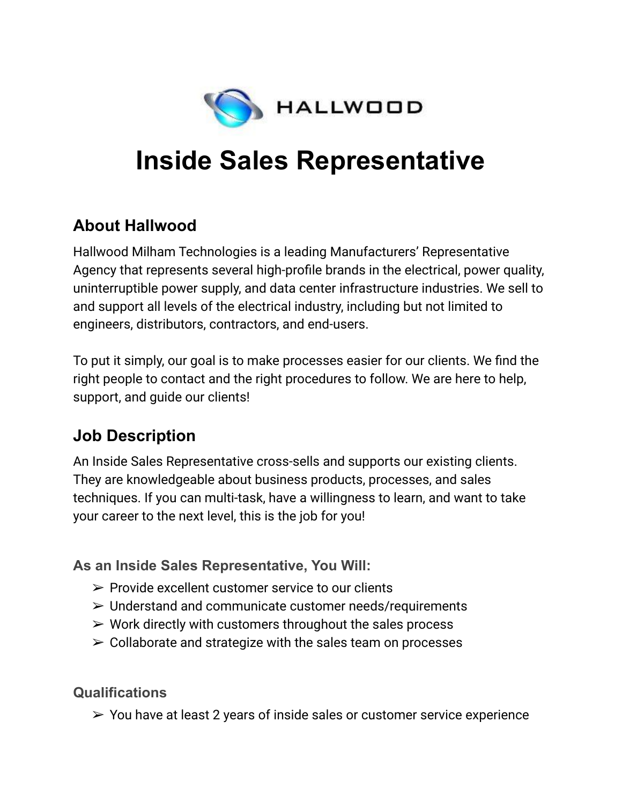

# **Inside Sales Representative**

### **About Hallwood**

Hallwood Milham Technologies is a leading Manufacturers' Representative Agency that represents several high-profile brands in the electrical, power quality, uninterruptible power supply, and data center infrastructure industries. We sell to and support all levels of the electrical industry, including but not limited to engineers, distributors, contractors, and end-users.

To put it simply, our goal is to make processes easier for our clients. We find the right people to contact and the right procedures to follow. We are here to help, support, and guide our clients!

# **Job Description**

An Inside Sales Representative cross-sells and supports our existing clients. They are knowledgeable about business products, processes, and sales techniques. If you can multi-task, have a willingness to learn, and want to take your career to the next level, this is the job for you!

#### **As an Inside Sales Representative, You Will:**

- $\triangleright$  Provide excellent customer service to our clients
- ➢ Understand and communicate customer needs/requirements
- $\triangleright$  Work directly with customers throughout the sales process
- $\geq$  Collaborate and strategize with the sales team on processes

**Qualifications**

 $\geq$  You have at least 2 years of inside sales or customer service experience